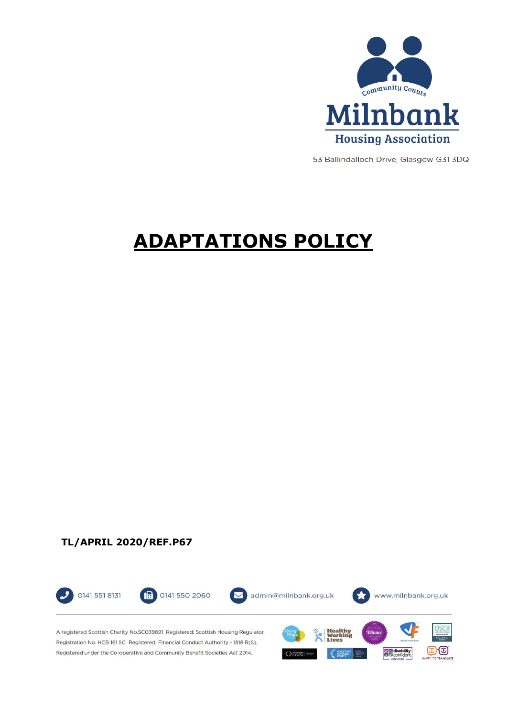

53 Ballindalloch Drive, Glasgow G31 3DQ

ගත

**Digital** disability

# **ADAPTATIONS POLICY**

**TL/APRIL 2020/REF.P67**



Registered under the Co-operative and Community Benefit Societies Act 2014.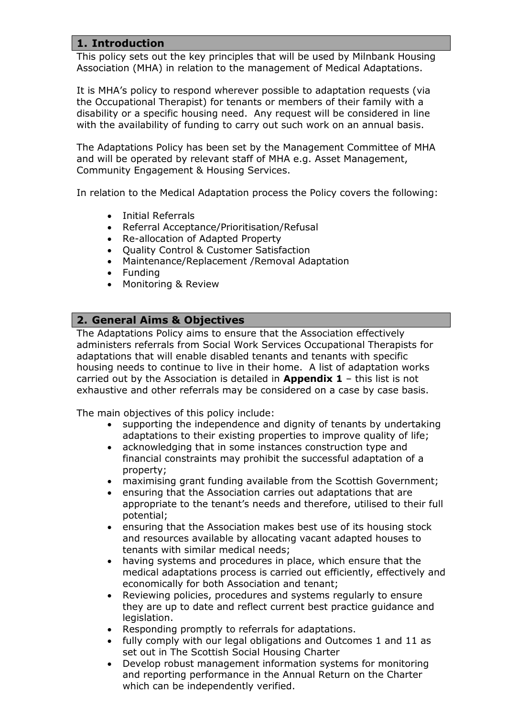# **1. Introduction**

This policy sets out the key principles that will be used by Milnbank Housing Association (MHA) in relation to the management of Medical Adaptations.

It is MHA's policy to respond wherever possible to adaptation requests (via the Occupational Therapist) for tenants or members of their family with a disability or a specific housing need. Any request will be considered in line with the availability of funding to carry out such work on an annual basis.

The Adaptations Policy has been set by the Management Committee of MHA and will be operated by relevant staff of MHA e.g. Asset Management, Community Engagement & Housing Services.

In relation to the Medical Adaptation process the Policy covers the following:

- Initial Referrals
- Referral Acceptance/Prioritisation/Refusal
- Re-allocation of Adapted Property
- Quality Control & Customer Satisfaction
- Maintenance/Replacement /Removal Adaptation
- Funding
- Monitoring & Review

# **2. General Aims & Objectives**

The Adaptations Policy aims to ensure that the Association effectively administers referrals from Social Work Services Occupational Therapists for adaptations that will enable disabled tenants and tenants with specific housing needs to continue to live in their home. A list of adaptation works carried out by the Association is detailed in **Appendix 1** – this list is not exhaustive and other referrals may be considered on a case by case basis.

The main objectives of this policy include:

- supporting the independence and dignity of tenants by undertaking adaptations to their existing properties to improve quality of life;
- acknowledging that in some instances construction type and financial constraints may prohibit the successful adaptation of a property;
- maximising grant funding available from the Scottish Government;
- ensuring that the Association carries out adaptations that are appropriate to the tenant's needs and therefore, utilised to their full potential;
- ensuring that the Association makes best use of its housing stock and resources available by allocating vacant adapted houses to tenants with similar medical needs;
- having systems and procedures in place, which ensure that the medical adaptations process is carried out efficiently, effectively and economically for both Association and tenant;
- Reviewing policies, procedures and systems regularly to ensure they are up to date and reflect current best practice guidance and legislation.
- Responding promptly to referrals for adaptations.
- fully comply with our legal obligations and Outcomes 1 and 11 as set out in The Scottish Social Housing Charter
- Develop robust management information systems for monitoring and reporting performance in the Annual Return on the Charter which can be independently verified.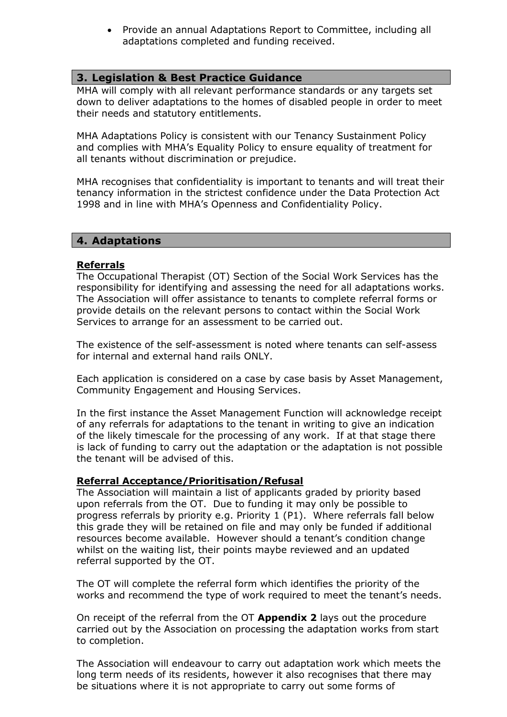Provide an annual Adaptations Report to Committee, including all adaptations completed and funding received.

# **3. Legislation & Best Practice Guidance**

MHA will comply with all relevant performance standards or any targets set down to deliver adaptations to the homes of disabled people in order to meet their needs and statutory entitlements.

MHA Adaptations Policy is consistent with our Tenancy Sustainment Policy and complies with MHA's Equality Policy to ensure equality of treatment for all tenants without discrimination or prejudice.

MHA recognises that confidentiality is important to tenants and will treat their tenancy information in the strictest confidence under the Data Protection Act 1998 and in line with MHA's Openness and Confidentiality Policy.

#### **4. Adaptations**

#### **Referrals**

The Occupational Therapist (OT) Section of the Social Work Services has the responsibility for identifying and assessing the need for all adaptations works. The Association will offer assistance to tenants to complete referral forms or provide details on the relevant persons to contact within the Social Work Services to arrange for an assessment to be carried out.

The existence of the self-assessment is noted where tenants can self-assess for internal and external hand rails ONLY.

Each application is considered on a case by case basis by Asset Management, Community Engagement and Housing Services.

In the first instance the Asset Management Function will acknowledge receipt of any referrals for adaptations to the tenant in writing to give an indication of the likely timescale for the processing of any work. If at that stage there is lack of funding to carry out the adaptation or the adaptation is not possible the tenant will be advised of this.

#### **Referral Acceptance/Prioritisation/Refusal**

The Association will maintain a list of applicants graded by priority based upon referrals from the OT. Due to funding it may only be possible to progress referrals by priority e.g. Priority 1 (P1). Where referrals fall below this grade they will be retained on file and may only be funded if additional resources become available. However should a tenant's condition change whilst on the waiting list, their points maybe reviewed and an updated referral supported by the OT.

The OT will complete the referral form which identifies the priority of the works and recommend the type of work required to meet the tenant's needs.

On receipt of the referral from the OT **Appendix 2** lays out the procedure carried out by the Association on processing the adaptation works from start to completion.

The Association will endeavour to carry out adaptation work which meets the long term needs of its residents, however it also recognises that there may be situations where it is not appropriate to carry out some forms of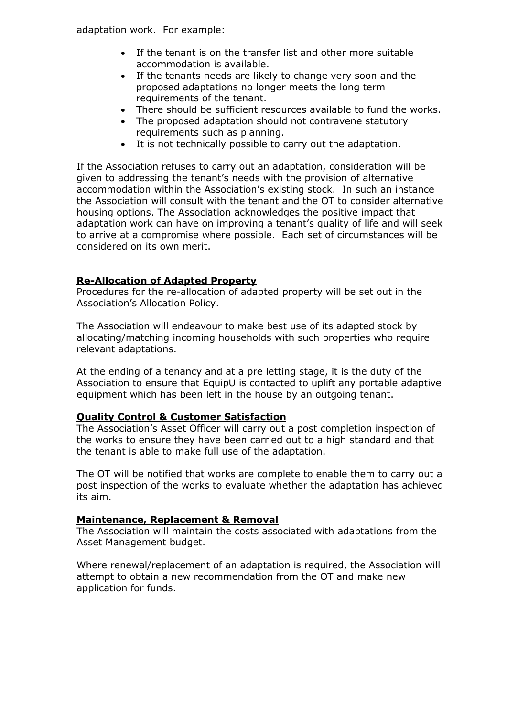adaptation work. For example:

- If the tenant is on the transfer list and other more suitable accommodation is available.
- If the tenants needs are likely to change very soon and the proposed adaptations no longer meets the long term requirements of the tenant.
- There should be sufficient resources available to fund the works.
- The proposed adaptation should not contravene statutory requirements such as planning.
- It is not technically possible to carry out the adaptation.

If the Association refuses to carry out an adaptation, consideration will be given to addressing the tenant's needs with the provision of alternative accommodation within the Association's existing stock. In such an instance the Association will consult with the tenant and the OT to consider alternative housing options. The Association acknowledges the positive impact that adaptation work can have on improving a tenant's quality of life and will seek to arrive at a compromise where possible. Each set of circumstances will be considered on its own merit.

# **Re-Allocation of Adapted Property**

Procedures for the re-allocation of adapted property will be set out in the Association's Allocation Policy.

The Association will endeavour to make best use of its adapted stock by allocating/matching incoming households with such properties who require relevant adaptations.

At the ending of a tenancy and at a pre letting stage, it is the duty of the Association to ensure that EquipU is contacted to uplift any portable adaptive equipment which has been left in the house by an outgoing tenant.

#### **Quality Control & Customer Satisfaction**

The Association's Asset Officer will carry out a post completion inspection of the works to ensure they have been carried out to a high standard and that the tenant is able to make full use of the adaptation.

The OT will be notified that works are complete to enable them to carry out a post inspection of the works to evaluate whether the adaptation has achieved its aim.

#### **Maintenance, Replacement & Removal**

The Association will maintain the costs associated with adaptations from the Asset Management budget.

Where renewal/replacement of an adaptation is required, the Association will attempt to obtain a new recommendation from the OT and make new application for funds.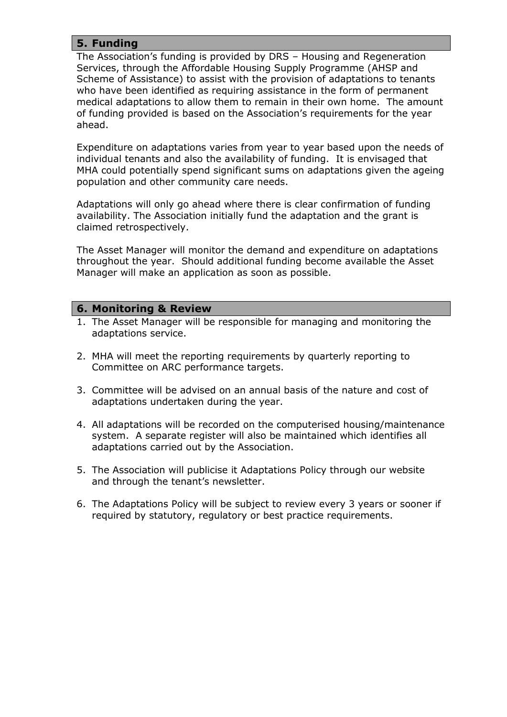# **5. Funding**

The Association's funding is provided by DRS – Housing and Regeneration Services, through the Affordable Housing Supply Programme (AHSP and Scheme of Assistance) to assist with the provision of adaptations to tenants who have been identified as requiring assistance in the form of permanent medical adaptations to allow them to remain in their own home. The amount of funding provided is based on the Association's requirements for the year ahead.

Expenditure on adaptations varies from year to year based upon the needs of individual tenants and also the availability of funding. It is envisaged that MHA could potentially spend significant sums on adaptations given the ageing population and other community care needs.

Adaptations will only go ahead where there is clear confirmation of funding availability. The Association initially fund the adaptation and the grant is claimed retrospectively.

The Asset Manager will monitor the demand and expenditure on adaptations throughout the year. Should additional funding become available the Asset Manager will make an application as soon as possible.

# **6. Monitoring & Review**

- 1. The Asset Manager will be responsible for managing and monitoring the adaptations service.
- 2. MHA will meet the reporting requirements by quarterly reporting to Committee on ARC performance targets.
- 3. Committee will be advised on an annual basis of the nature and cost of adaptations undertaken during the year.
- 4. All adaptations will be recorded on the computerised housing/maintenance system. A separate register will also be maintained which identifies all adaptations carried out by the Association.
- 5. The Association will publicise it Adaptations Policy through our website and through the tenant's newsletter.
- 6. The Adaptations Policy will be subject to review every 3 years or sooner if required by statutory, regulatory or best practice requirements.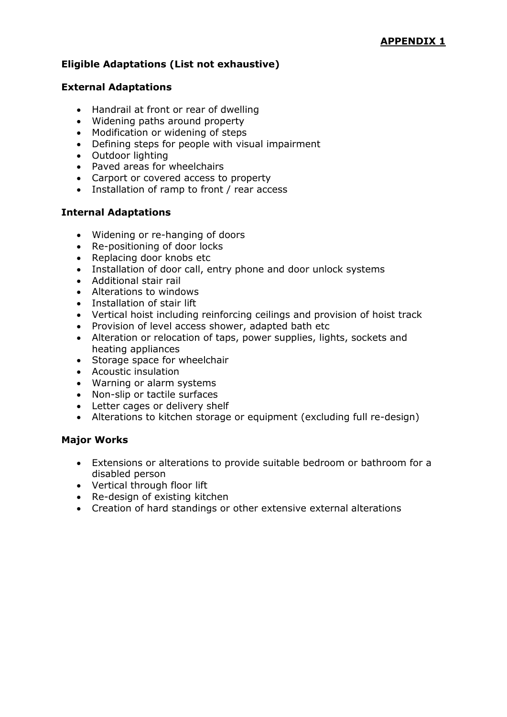# **Eligible Adaptations (List not exhaustive)**

#### **External Adaptations**

- Handrail at front or rear of dwelling
- Widening paths around property
- Modification or widening of steps
- Defining steps for people with visual impairment
- Outdoor lighting
- Paved areas for wheelchairs
- Carport or covered access to property
- Installation of ramp to front / rear access

#### **Internal Adaptations**

- Widening or re-hanging of doors
- Re-positioning of door locks
- Replacing door knobs etc
- Installation of door call, entry phone and door unlock systems
- Additional stair rail
- Alterations to windows
- Installation of stair lift
- Vertical hoist including reinforcing ceilings and provision of hoist track
- Provision of level access shower, adapted bath etc
- Alteration or relocation of taps, power supplies, lights, sockets and heating appliances
- Storage space for wheelchair
- Acoustic insulation
- Warning or alarm systems
- Non-slip or tactile surfaces
- Letter cages or delivery shelf
- Alterations to kitchen storage or equipment (excluding full re-design)

#### **Major Works**

- Extensions or alterations to provide suitable bedroom or bathroom for a disabled person
- Vertical through floor lift
- Re-design of existing kitchen
- Creation of hard standings or other extensive external alterations